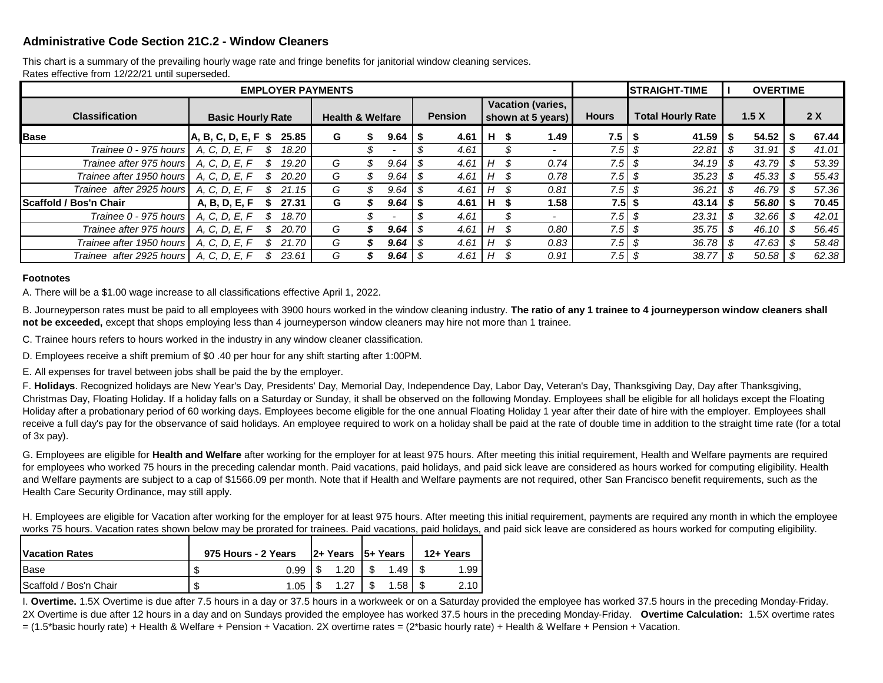## **Administrative Code Section 21C.2 - Window Cleaners**

Rates effective from 12/22/21 until superseded. This chart is a summary of the prevailing hourly wage rate and fringe benefits for janitorial window cleaning services.

| <b>EMPLOYER PAYMENTS</b>      |                          |       |                             |  |                |                                        |    |               | <b>ISTRAIGHT-TIME</b>    | <b>OVERTIME</b>          |                |      |       |  |       |
|-------------------------------|--------------------------|-------|-----------------------------|--|----------------|----------------------------------------|----|---------------|--------------------------|--------------------------|----------------|------|-------|--|-------|
| <b>Classification</b>         | <b>Basic Hourly Rate</b> |       | <b>Health &amp; Welfare</b> |  | <b>Pension</b> | Vacation (varies,<br>shown at 5 years) |    |               | <b>Hours</b>             | <b>Total Hourly Rate</b> | 1.5X           |      | 2X    |  |       |
| <b>Base</b>                   | $A, B, C, D, E, F$ \$    | 25.85 | G                           |  | 9.64           | 4.61<br>- 5                            | Н. | S             | 1.49                     | 7.5 I                    | 41.59          | - 35 | 54.52 |  | 67.44 |
| Trainee 0 - 975 hours         | A, C, D, E, F            | 18.20 |                             |  |                | 4.61                                   |    |               | $\overline{\phantom{0}}$ | 7.5                      | 22.81          |      | 31.91 |  | 41.01 |
| Trainee after 975 hours       | A. C. D. E. F            | 19.20 | G                           |  | 9.64           | 4.61<br>-\$                            | Н  | S.            | 0.74                     | 7.5 l                    | $34.19$ \ \$   |      | 43.79 |  | 53.39 |
| Trainee after 1950 hours      | A, C, D, E, F            | 20.20 | G                           |  | 9.64           | 4.61                                   | н  | Ъ.            | 0.78                     | 7.5                      |                |      | 45.33 |  | 55.43 |
| Trainee after 2925 hours      | A, C, D, E, F            | 21.15 | G                           |  | 9.64           | 4.61<br>- 55                           | Н  | $\mathcal{P}$ | 0.81                     | 7.5                      | 36.21          | \$   | 46.79 |  | 57.36 |
| <b>Scaffold / Bos'n Chair</b> | A, B, D, E, F            | 27.31 | G                           |  | 9.64           | 4.61                                   | н  | ъ             | 1.58                     | $7.5$ \$                 | 43.14          |      | 56.80 |  | 70.45 |
| Trainee 0 - 975 hours         | A, C, D, E, F            | 18.70 |                             |  |                | 4.61                                   |    |               | $\overline{\phantom{0}}$ | $7.5$ \$                 | 23.31          | - \$ | 32.66 |  | 42.01 |
| Trainee after 975 hours       | A, C, D, E, F            | 20.70 | G                           |  | 9.64           | 4.61<br>-\$                            | Н  | S             | 0.80                     | 7.5 l                    | $35.75$ \$     |      | 46.10 |  | 56.45 |
| Trainee after 1950 hours      | A, C, D, E, F            | 21.70 | G                           |  | 9.64           | -\$<br>4.61                            | Н  | S             | 0.83                     | 7.5                      | $36.78$ \ \ \$ |      | 47.63 |  | 58.48 |
| Trainee after 2925 hours      | A, C, D, E, F            | 23.61 | G                           |  | 9.64           | 4.61<br>- \$                           | Н  | S             | 0.91                     | 7.5 I                    | 38.77          |      | 50.58 |  | 62.38 |

## **Footnotes**

A. There will be a \$1.00 wage increase to all classifications effective April 1, 2022.

B. Journeyperson rates must be paid to all employees with 3900 hours worked in the window cleaning industry. **The ratio of any 1 trainee to 4 journeyperson window cleaners shall not be exceeded,** except that shops employing less than 4 journeyperson window cleaners may hire not more than 1 trainee.

C. Trainee hours refers to hours worked in the industry in any window cleaner classification.

D. Employees receive a shift premium of \$0 .40 per hour for any shift starting after 1:00PM.

E. All expenses for travel between jobs shall be paid the by the employer.

F. **Holidays**. Recognized holidays are New Year's Day, Presidents' Day, Memorial Day, Independence Day, Labor Day, Veteran's Day, Thanksgiving Day, Day after Thanksgiving, Christmas Day, Floating Holiday. If a holiday falls on a Saturday or Sunday, it shall be observed on the following Monday. Employees shall be eligible for all holidays except the Floating Holiday after a probationary period of 60 working days. Employees become eligible for the one annual Floating Holiday 1 year after their date of hire with the employer. Employees shall receive a full day's pay for the observance of said holidays. An employee required to work on a holiday shall be paid at the rate of double time in addition to the straight time rate (for a total of 3x pay).

G. Employees are eligible for **Health and Welfare** after working for the employer for at least 975 hours. After meeting this initial requirement, Health and Welfare payments are required for employees who worked 75 hours in the preceding calendar month. Paid vacations, paid holidays, and paid sick leave are considered as hours worked for computing eligibility. Health and Welfare payments are subject to a cap of \$1566.09 per month. Note that if Health and Welfare payments are not required, other San Francisco benefit requirements, such as the Health Care Security Ordinance, may still apply.

H. Employees are eligible for Vacation after working for the employer for at least 975 hours. After meeting this initial requirement, payments are required any month in which the employee works 75 hours. Vacation rates shown below may be prorated for trainees. Paid vacations, paid holidays, and paid sick leave are considered as hours worked for computing eligibility.

| <b>Vacation Rates</b>  | 975 Hours - 2 Years | $ 2 + Y$ ears $ 5 + Y$ ears |     | 12+ Years |  |      |
|------------------------|---------------------|-----------------------------|-----|-----------|--|------|
| <b>Base</b>            | S                   | 0.99                        | .20 | 1.49      |  | 1.99 |
| Scaffold / Bos'n Chair | \$                  | 1.05                        |     | 1.58.     |  | 2.10 |

I. **Overtime.** 1.5X Overtime is due after 7.5 hours in a day or 37.5 hours in a workweek or on a Saturday provided the employee has worked 37.5 hours in the preceding Monday-Friday. 2X Overtime is due after 12 hours in a day and on Sundays provided the employee has worked 37.5 hours in the preceding Monday-Friday. **Overtime Calculation:** 1.5X overtime rates = (1.5\*basic hourly rate) + Health & Welfare + Pension + Vacation. 2X overtime rates = (2\*basic hourly rate) + Health & Welfare + Pension + Vacation.